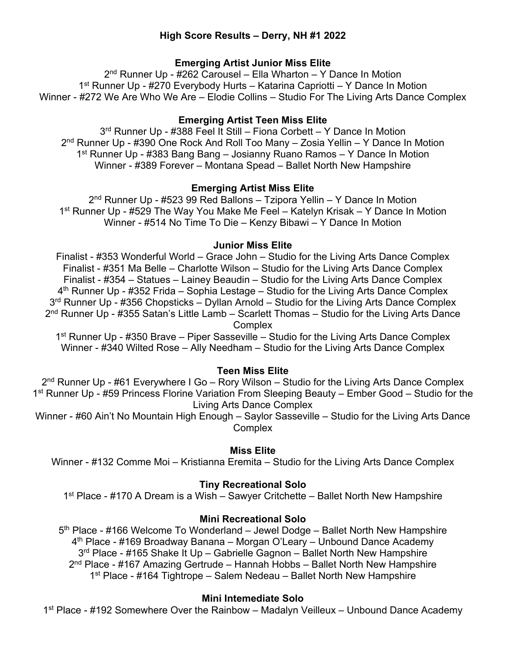# **High Score Results – Derry, NH #1 2022**

# **Emerging Artist Junior Miss Elite**

2nd Runner Up - #262 Carousel – Ella Wharton – Y Dance In Motion 1st Runner Up - #270 Everybody Hurts – Katarina Capriotti – Y Dance In Motion Winner - #272 We Are Who We Are – Elodie Collins – Studio For The Living Arts Dance Complex

# **Emerging Artist Teen Miss Elite**

3rd Runner Up - #388 Feel It Still – Fiona Corbett – Y Dance In Motion 2nd Runner Up - #390 One Rock And Roll Too Many – Zosia Yellin – Y Dance In Motion 1st Runner Up - #383 Bang Bang – Josianny Ruano Ramos – Y Dance In Motion Winner - #389 Forever – Montana Spead – Ballet North New Hampshire

# **Emerging Artist Miss Elite**

2<sup>nd</sup> Runner Up - #523 99 Red Ballons – Tzipora Yellin – Y Dance In Motion 1st Runner Up - #529 The Way You Make Me Feel – Katelyn Krisak – Y Dance In Motion Winner - #514 No Time To Die – Kenzy Bibawi – Y Dance In Motion

# **Junior Miss Elite**

Finalist - #353 Wonderful World – Grace John – Studio for the Living Arts Dance Complex Finalist - #351 Ma Belle – Charlotte Wilson – Studio for the Living Arts Dance Complex Finalist - #354 – Statues – Lainey Beaudin – Studio for the Living Arts Dance Complex  $4<sup>th</sup>$  Runner Up - #352 Frida – Sophia Lestage – Studio for the Living Arts Dance Complex 3<sup>rd</sup> Runner Up - #356 Chopsticks – Dyllan Arnold – Studio for the Living Arts Dance Complex  $2<sup>nd</sup>$  Runner Up - #355 Satan's Little Lamb – Scarlett Thomas – Studio for the Living Arts Dance **Complex** 

 $1<sup>st</sup>$  Runner Up - #350 Brave – Piper Sasseville – Studio for the Living Arts Dance Complex Winner - #340 Wilted Rose – Ally Needham – Studio for the Living Arts Dance Complex

# **Teen Miss Elite**

2<sup>nd</sup> Runner Up - #61 Everywhere I Go – Rory Wilson – Studio for the Living Arts Dance Complex 1st Runner Up - #59 Princess Florine Variation From Sleeping Beauty – Ember Good – Studio for the Living Arts Dance Complex

Winner - #60 Ain't No Mountain High Enough – Saylor Sasseville – Studio for the Living Arts Dance **Complex** 

# **Miss Elite**

Winner - #132 Comme Moi – Kristianna Eremita – Studio for the Living Arts Dance Complex

# **Tiny Recreational Solo**

1<sup>st</sup> Place - #170 A Dream is a Wish – Sawyer Critchette – Ballet North New Hampshire

# **Mini Recreational Solo**

5<sup>th</sup> Place - #166 Welcome To Wonderland – Jewel Dodge – Ballet North New Hampshire 4th Place - #169 Broadway Banana – Morgan O'Leary – Unbound Dance Academy 3<sup>rd</sup> Place - #165 Shake It Up – Gabrielle Gagnon – Ballet North New Hampshire  $2<sup>nd</sup>$  Place - #167 Amazing Gertrude – Hannah Hobbs – Ballet North New Hampshire 1<sup>st</sup> Place - #164 Tightrope – Salem Nedeau – Ballet North New Hampshire

# **Mini Intemediate Solo**

1<sup>st</sup> Place - #192 Somewhere Over the Rainbow – Madalyn Veilleux – Unbound Dance Academy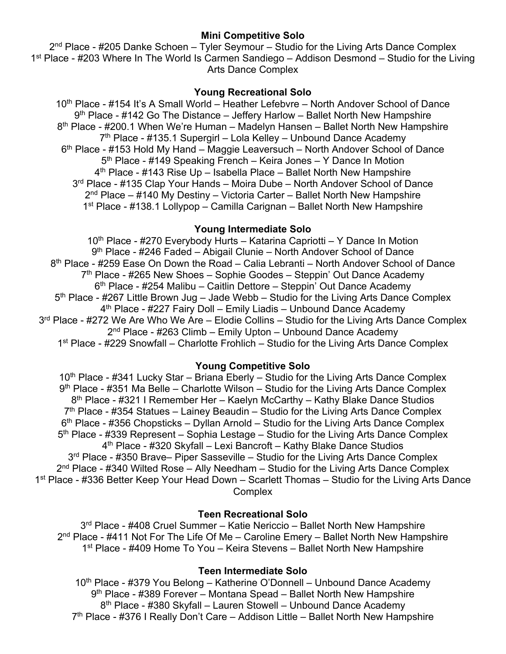## **Mini Competitive Solo**

 $2<sup>nd</sup>$  Place - #205 Danke Schoen – Tyler Seymour – Studio for the Living Arts Dance Complex 1<sup>st</sup> Place - #203 Where In The World Is Carmen Sandiego – Addison Desmond – Studio for the Living Arts Dance Complex

### **Young Recreational Solo**

10<sup>th</sup> Place - #154 It's A Small World – Heather Lefebvre – North Andover School of Dance  $9<sup>th</sup>$  Place - #142 Go The Distance – Jeffery Harlow – Ballet North New Hampshire 8<sup>th</sup> Place - #200.1 When We're Human – Madelyn Hansen – Ballet North New Hampshire  $7<sup>th</sup>$  Place - #135.1 Supergirl – Lola Kelley – Unbound Dance Academy 6th Place - #153 Hold My Hand – Maggie Leaversuch – North Andover School of Dance 5<sup>th</sup> Place - #149 Speaking French – Keira Jones – Y Dance In Motion  $4<sup>th</sup>$  Place - #143 Rise Up – Isabella Place – Ballet North New Hampshire 3<sup>rd</sup> Place - #135 Clap Your Hands – Moira Dube – North Andover School of Dance  $2<sup>nd</sup>$  Place – #140 My Destiny – Victoria Carter – Ballet North New Hampshire 1st Place - #138.1 Lollypop – Camilla Carignan – Ballet North New Hampshire

### **Young Intermediate Solo**

10<sup>th</sup> Place - #270 Everybody Hurts – Katarina Capriotti – Y Dance In Motion 9th Place - #246 Faded – Abigail Clunie – North Andover School of Dance 8<sup>th</sup> Place - #259 Ease On Down the Road – Calia Lebranti – North Andover School of Dance  $7<sup>th</sup>$  Place - #265 New Shoes – Sophie Goodes – Steppin' Out Dance Academy 6<sup>th</sup> Place - #254 Malibu – Caitlin Dettore – Steppin' Out Dance Academy  $5<sup>th</sup>$  Place - #267 Little Brown Jug – Jade Webb – Studio for the Living Arts Dance Complex 4<sup>th</sup> Place - #227 Fairy Doll – Emily Liadis – Unbound Dance Academy 3<sup>rd</sup> Place - #272 We Are Who We Are – Elodie Collins – Studio for the Living Arts Dance Complex  $2<sup>nd</sup>$  Place - #263 Climb – Emily Upton – Unbound Dance Academy 1<sup>st</sup> Place - #229 Snowfall – Charlotte Frohlich – Studio for the Living Arts Dance Complex

# **Young Competitive Solo**

 $10<sup>th</sup>$  Place - #341 Lucky Star – Briana Eberly – Studio for the Living Arts Dance Complex 9<sup>th</sup> Place - #351 Ma Belle – Charlotte Wilson – Studio for the Living Arts Dance Complex 8th Place - #321 I Remember Her – Kaelyn McCarthy – Kathy Blake Dance Studios  $7<sup>th</sup>$  Place - #354 Statues – Lainey Beaudin – Studio for the Living Arts Dance Complex  $6<sup>th</sup>$  Place - #356 Chopsticks – Dyllan Arnold – Studio for the Living Arts Dance Complex  $5<sup>th</sup>$  Place - #339 Represent – Sophia Lestage – Studio for the Living Arts Dance Complex 4th Place - #320 Skyfall – Lexi Bancroft – Kathy Blake Dance Studios 3<sup>rd</sup> Place - #350 Brave– Piper Sasseville – Studio for the Living Arts Dance Complex  $2<sup>nd</sup>$  Place - #340 Wilted Rose – Ally Needham – Studio for the Living Arts Dance Complex 1<sup>st</sup> Place - #336 Better Keep Your Head Down – Scarlett Thomas – Studio for the Living Arts Dance **Complex** 

# **Teen Recreational Solo**

3<sup>rd</sup> Place - #408 Cruel Summer – Katie Nericcio – Ballet North New Hampshire  $2<sup>nd</sup>$  Place - #411 Not For The Life Of Me – Caroline Emery – Ballet North New Hampshire 1<sup>st</sup> Place - #409 Home To You – Keira Stevens – Ballet North New Hampshire

# **Teen Intermediate Solo**

10<sup>th</sup> Place - #379 You Belong – Katherine O'Donnell – Unbound Dance Academy 9<sup>th</sup> Place - #389 Forever – Montana Spead – Ballet North New Hampshire 8th Place - #380 Skyfall – Lauren Stowell – Unbound Dance Academy 7<sup>th</sup> Place - #376 I Really Don't Care – Addison Little – Ballet North New Hampshire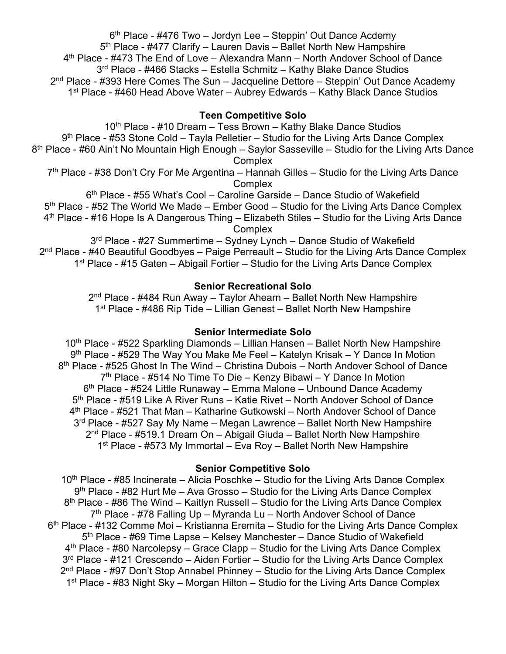$6<sup>th</sup>$  Place - #476 Two – Jordyn Lee – Steppin' Out Dance Acdemy 5<sup>th</sup> Place - #477 Clarify – Lauren Davis – Ballet North New Hampshire 4th Place - #473 The End of Love – Alexandra Mann – North Andover School of Dance 3<sup>rd</sup> Place - #466 Stacks – Estella Schmitz – Kathy Blake Dance Studios  $2<sup>nd</sup>$  Place - #393 Here Comes The Sun – Jacqueline Dettore – Steppin' Out Dance Academy 1st Place - #460 Head Above Water – Aubrey Edwards – Kathy Black Dance Studios

### **Teen Competitive Solo**

10<sup>th</sup> Place - #10 Dream – Tess Brown – Kathy Blake Dance Studios  $9<sup>th</sup>$  Place - #53 Stone Cold – Tayla Pelletier – Studio for the Living Arts Dance Complex 8<sup>th</sup> Place - #60 Ain't No Mountain High Enough – Saylor Sasseville – Studio for the Living Arts Dance **Complex**  $7<sup>th</sup>$  Place - #38 Don't Cry For Me Argentina – Hannah Gilles – Studio for the Living Arts Dance **Complex** 

6th Place - #55 What's Cool – Caroline Garside – Dance Studio of Wakefield 5<sup>th</sup> Place - #52 The World We Made – Ember Good – Studio for the Living Arts Dance Complex 4th Place - #16 Hope Is A Dangerous Thing – Elizabeth Stiles – Studio for the Living Arts Dance **Complex** 

3<sup>rd</sup> Place - #27 Summertime – Sydney Lynch – Dance Studio of Wakefield 2<sup>nd</sup> Place - #40 Beautiful Goodbyes – Paige Perreault – Studio for the Living Arts Dance Complex 1<sup>st</sup> Place - #15 Gaten – Abigail Fortier – Studio for the Living Arts Dance Complex

#### **Senior Recreational Solo**

 $2<sup>nd</sup>$  Place - #484 Run Away – Taylor Ahearn – Ballet North New Hampshire 1<sup>st</sup> Place - #486 Rip Tide – Lillian Genest – Ballet North New Hampshire

#### **Senior Intermediate Solo**

10<sup>th</sup> Place - #522 Sparkling Diamonds – Lillian Hansen – Ballet North New Hampshire 9th Place - #529 The Way You Make Me Feel – Katelyn Krisak – Y Dance In Motion 8<sup>th</sup> Place - #525 Ghost In The Wind – Christina Dubois – North Andover School of Dance  $7<sup>th</sup>$  Place - #514 No Time To Die – Kenzy Bibawi – Y Dance In Motion 6<sup>th</sup> Place - #524 Little Runaway – Emma Malone – Unbound Dance Academy 5th Place - #519 Like A River Runs – Katie Rivet – North Andover School of Dance 4th Place - #521 That Man – Katharine Gutkowski – North Andover School of Dance 3<sup>rd</sup> Place - #527 Say My Name – Megan Lawrence – Ballet North New Hampshire 2nd Place - #519.1 Dream On – Abigail Giuda – Ballet North New Hampshire 1<sup>st</sup> Place - #573 My Immortal – Eva Roy – Ballet North New Hampshire

# **Senior Competitive Solo**

 $10<sup>th</sup>$  Place - #85 Incinerate – Alicia Poschke – Studio for the Living Arts Dance Complex 9th Place - #82 Hurt Me – Ava Grosso – Studio for the Living Arts Dance Complex 8<sup>th</sup> Place - #86 The Wind – Kaitlyn Russell – Studio for the Living Arts Dance Complex 7<sup>th</sup> Place - #78 Falling Up – Myranda Lu – North Andover School of Dance  $6<sup>th</sup>$  Place - #132 Comme Moi – Kristianna Eremita – Studio for the Living Arts Dance Complex 5th Place - #69 Time Lapse – Kelsey Manchester – Dance Studio of Wakefield 4<sup>th</sup> Place - #80 Narcolepsy – Grace Clapp – Studio for the Living Arts Dance Complex 3<sup>rd</sup> Place - #121 Crescendo – Aiden Fortier – Studio for the Living Arts Dance Complex 2<sup>nd</sup> Place - #97 Don't Stop Annabel Phinney – Studio for the Living Arts Dance Complex 1<sup>st</sup> Place - #83 Night Sky – Morgan Hilton – Studio for the Living Arts Dance Complex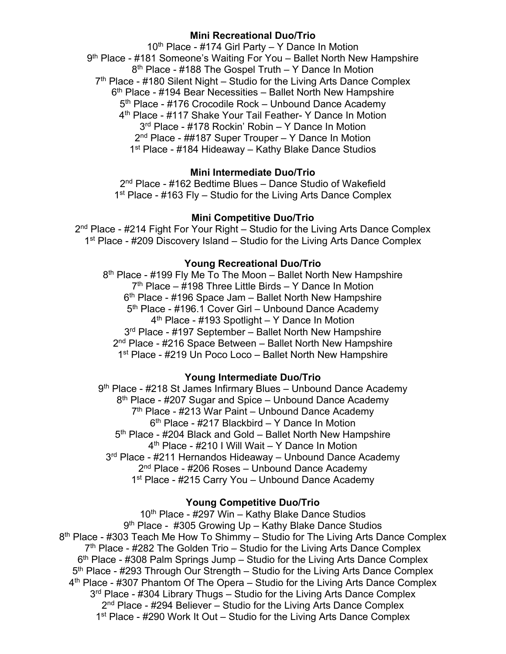# **Mini Recreational Duo/Trio**

 $10<sup>th</sup>$  Place - #174 Girl Party – Y Dance In Motion 9th Place - #181 Someone's Waiting For You – Ballet North New Hampshire 8<sup>th</sup> Place - #188 The Gospel Truth – Y Dance In Motion  $7<sup>th</sup>$  Place - #180 Silent Night – Studio for the Living Arts Dance Complex  $6<sup>th</sup>$  Place - #194 Bear Necessities – Ballet North New Hampshire 5<sup>th</sup> Place - #176 Crocodile Rock – Unbound Dance Academy 4th Place - #117 Shake Your Tail Feather- Y Dance In Motion 3rd Place - #178 Rockin' Robin – Y Dance In Motion 2<sup>nd</sup> Place - ##187 Super Trouper – Y Dance In Motion 1<sup>st</sup> Place - #184 Hideaway – Kathy Blake Dance Studios

### **Mini Intermediate Duo/Trio**

2nd Place - #162 Bedtime Blues – Dance Studio of Wakefield  $1<sup>st</sup>$  Place - #163 Fly – Studio for the Living Arts Dance Complex

#### **Mini Competitive Duo/Trio**

2<sup>nd</sup> Place - #214 Fight For Your Right – Studio for the Living Arts Dance Complex 1<sup>st</sup> Place - #209 Discovery Island – Studio for the Living Arts Dance Complex

#### **Young Recreational Duo/Trio**

 $8<sup>th</sup>$  Place - #199 Fly Me To The Moon – Ballet North New Hampshire  $7<sup>th</sup>$  Place – #198 Three Little Birds – Y Dance In Motion  $6<sup>th</sup>$  Place - #196 Space Jam – Ballet North New Hampshire 5<sup>th</sup> Place - #196.1 Cover Girl – Unbound Dance Academy 4th Place - #193 Spotlight – Y Dance In Motion 3<sup>rd</sup> Place - #197 September – Ballet North New Hampshire 2<sup>nd</sup> Place - #216 Space Between – Ballet North New Hampshire 1<sup>st</sup> Place - #219 Un Poco Loco – Ballet North New Hampshire

#### **Young Intermediate Duo/Trio**

9<sup>th</sup> Place - #218 St James Infirmary Blues – Unbound Dance Academy 8<sup>th</sup> Place - #207 Sugar and Spice – Unbound Dance Academy 7<sup>th</sup> Place - #213 War Paint – Unbound Dance Academy  $6<sup>th</sup>$  Place - #217 Blackbird – Y Dance In Motion 5th Place - #204 Black and Gold – Ballet North New Hampshire 4<sup>th</sup> Place - #210 I Will Wait – Y Dance In Motion 3<sup>rd</sup> Place - #211 Hernandos Hideaway – Unbound Dance Academy 2<sup>nd</sup> Place - #206 Roses – Unbound Dance Academy 1<sup>st</sup> Place - #215 Carry You - Unbound Dance Academy

#### **Young Competitive Duo/Trio**

10<sup>th</sup> Place - #297 Win – Kathy Blake Dance Studios 9<sup>th</sup> Place - #305 Growing Up – Kathy Blake Dance Studios 8<sup>th</sup> Place - #303 Teach Me How To Shimmy – Studio for The Living Arts Dance Complex  $7<sup>th</sup>$  Place - #282 The Golden Trio – Studio for the Living Arts Dance Complex  $6<sup>th</sup>$  Place - #308 Palm Springs Jump – Studio for the Living Arts Dance Complex 5<sup>th</sup> Place - #293 Through Our Strength – Studio for the Living Arts Dance Complex 4th Place - #307 Phantom Of The Opera – Studio for the Living Arts Dance Complex 3<sup>rd</sup> Place - #304 Library Thugs – Studio for the Living Arts Dance Complex 2<sup>nd</sup> Place - #294 Believer – Studio for the Living Arts Dance Complex 1<sup>st</sup> Place - #290 Work It Out – Studio for the Living Arts Dance Complex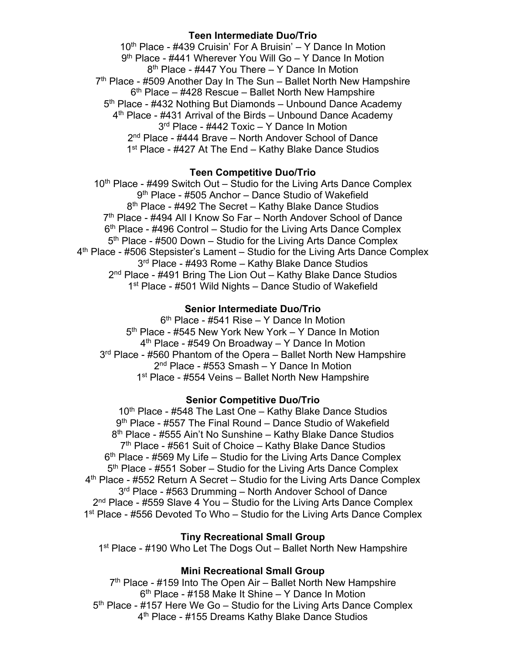# **Teen Intermediate Duo/Trio**

10<sup>th</sup> Place - #439 Cruisin' For A Bruisin' – Y Dance In Motion 9<sup>th</sup> Place - #441 Wherever You Will Go – Y Dance In Motion 8<sup>th</sup> Place - #447 You There – Y Dance In Motion  $7<sup>th</sup>$  Place - #509 Another Day In The Sun – Ballet North New Hampshire  $6<sup>th</sup>$  Place – #428 Rescue – Ballet North New Hampshire 5<sup>th</sup> Place - #432 Nothing But Diamonds – Unbound Dance Academy 4<sup>th</sup> Place - #431 Arrival of the Birds – Unbound Dance Academy 3<sup>rd</sup> Place - #442 Toxic – Y Dance In Motion 2<sup>nd</sup> Place - #444 Brave – North Andover School of Dance 1<sup>st</sup> Place - #427 At The End – Kathy Blake Dance Studios

### **Teen Competitive Duo/Trio**

 $10<sup>th</sup>$  Place - #499 Switch Out – Studio for the Living Arts Dance Complex 9th Place - #505 Anchor – Dance Studio of Wakefield 8<sup>th</sup> Place - #492 The Secret – Kathy Blake Dance Studios 7<sup>th</sup> Place - #494 All I Know So Far – North Andover School of Dance  $6<sup>th</sup>$  Place - #496 Control – Studio for the Living Arts Dance Complex 5<sup>th</sup> Place - #500 Down – Studio for the Living Arts Dance Complex 4th Place - #506 Stepsister's Lament – Studio for the Living Arts Dance Complex 3<sup>rd</sup> Place - #493 Rome – Kathy Blake Dance Studios 2<sup>nd</sup> Place - #491 Bring The Lion Out – Kathy Blake Dance Studios 1<sup>st</sup> Place - #501 Wild Nights – Dance Studio of Wakefield

#### **Senior Intermediate Duo/Trio**

6th Place - #541 Rise – Y Dance In Motion 5<sup>th</sup> Place - #545 New York New York – Y Dance In Motion  $4<sup>th</sup>$  Place - #549 On Broadway – Y Dance In Motion 3<sup>rd</sup> Place - #560 Phantom of the Opera – Ballet North New Hampshire 2<sup>nd</sup> Place - #553 Smash – Y Dance In Motion 1<sup>st</sup> Place - #554 Veins – Ballet North New Hampshire

#### **Senior Competitive Duo/Trio**

10<sup>th</sup> Place - #548 The Last One – Kathy Blake Dance Studios 9<sup>th</sup> Place - #557 The Final Round – Dance Studio of Wakefield 8th Place - #555 Ain't No Sunshine – Kathy Blake Dance Studios  $7<sup>th</sup>$  Place - #561 Suit of Choice – Kathy Blake Dance Studios  $6<sup>th</sup>$  Place - #569 My Life – Studio for the Living Arts Dance Complex 5th Place - #551 Sober – Studio for the Living Arts Dance Complex 4th Place - #552 Return A Secret – Studio for the Living Arts Dance Complex 3<sup>rd</sup> Place - #563 Drumming – North Andover School of Dance 2<sup>nd</sup> Place - #559 Slave 4 You – Studio for the Living Arts Dance Complex 1<sup>st</sup> Place - #556 Devoted To Who – Studio for the Living Arts Dance Complex

### **Tiny Recreational Small Group**

1<sup>st</sup> Place - #190 Who Let The Dogs Out – Ballet North New Hampshire

#### **Mini Recreational Small Group**

 $7<sup>th</sup>$  Place - #159 Into The Open Air – Ballet North New Hampshire  $6<sup>th</sup>$  Place - #158 Make It Shine – Y Dance In Motion 5th Place - #157 Here We Go – Studio for the Living Arts Dance Complex 4<sup>th</sup> Place - #155 Dreams Kathy Blake Dance Studios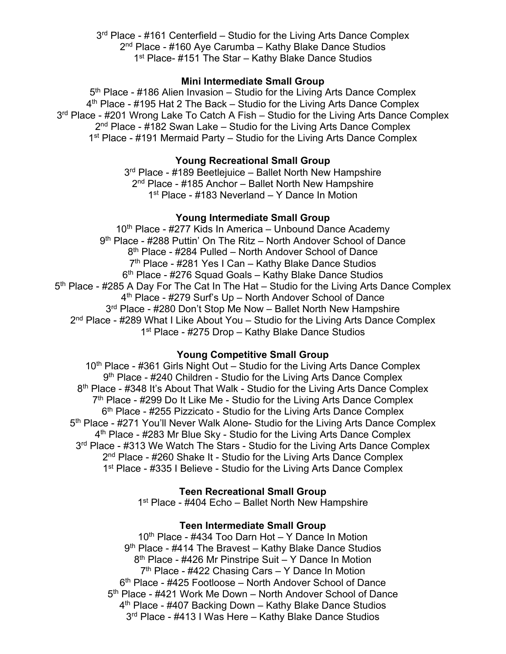3<sup>rd</sup> Place - #161 Centerfield – Studio for the Living Arts Dance Complex 2<sup>nd</sup> Place - #160 Aye Carumba – Kathy Blake Dance Studios 1<sup>st</sup> Place- #151 The Star – Kathy Blake Dance Studios

#### **Mini Intermediate Small Group**

5<sup>th</sup> Place - #186 Alien Invasion – Studio for the Living Arts Dance Complex 4<sup>th</sup> Place - #195 Hat 2 The Back – Studio for the Living Arts Dance Complex 3<sup>rd</sup> Place - #201 Wrong Lake To Catch A Fish – Studio for the Living Arts Dance Complex  $2<sup>nd</sup>$  Place - #182 Swan Lake – Studio for the Living Arts Dance Complex 1<sup>st</sup> Place - #191 Mermaid Party – Studio for the Living Arts Dance Complex

# **Young Recreational Small Group**

3<sup>rd</sup> Place - #189 Beetlejuice – Ballet North New Hampshire 2<sup>nd</sup> Place - #185 Anchor – Ballet North New Hampshire 1st Place - #183 Neverland – Y Dance In Motion

### **Young Intermediate Small Group**

 $10<sup>th</sup>$  Place - #277 Kids In America – Unbound Dance Academy 9th Place - #288 Puttin' On The Ritz – North Andover School of Dance 8<sup>th</sup> Place - #284 Pulled – North Andover School of Dance  $7<sup>th</sup>$  Place - #281 Yes I Can – Kathy Blake Dance Studios 6<sup>th</sup> Place - #276 Squad Goals – Kathy Blake Dance Studios 5<sup>th</sup> Place - #285 A Day For The Cat In The Hat – Studio for the Living Arts Dance Complex 4<sup>th</sup> Place - #279 Surf's Up – North Andover School of Dance 3<sup>rd</sup> Place - #280 Don't Stop Me Now - Ballet North New Hampshire  $2<sup>nd</sup>$  Place - #289 What I Like About You – Studio for the Living Arts Dance Complex 1<sup>st</sup> Place - #275 Drop – Kathy Blake Dance Studios

#### **Young Competitive Small Group**

 $10<sup>th</sup>$  Place - #361 Girls Night Out – Studio for the Living Arts Dance Complex 9<sup>th</sup> Place - #240 Children - Studio for the Living Arts Dance Complex 8<sup>th</sup> Place - #348 It's About That Walk - Studio for the Living Arts Dance Complex 7<sup>th</sup> Place - #299 Do It Like Me - Studio for the Living Arts Dance Complex 6<sup>th</sup> Place - #255 Pizzicato - Studio for the Living Arts Dance Complex 5<sup>th</sup> Place - #271 You'll Never Walk Alone- Studio for the Living Arts Dance Complex 4th Place - #283 Mr Blue Sky - Studio for the Living Arts Dance Complex 3<sup>rd</sup> Place - #313 We Watch The Stars - Studio for the Living Arts Dance Complex 2<sup>nd</sup> Place - #260 Shake It - Studio for the Living Arts Dance Complex 1<sup>st</sup> Place - #335 I Believe - Studio for the Living Arts Dance Complex

#### **Teen Recreational Small Group**

1<sup>st</sup> Place - #404 Echo – Ballet North New Hampshire

#### **Teen Intermediate Small Group**

10<sup>th</sup> Place - #434 Too Darn Hot – Y Dance In Motion 9<sup>th</sup> Place - #414 The Bravest – Kathy Blake Dance Studios 8<sup>th</sup> Place - #426 Mr Pinstripe Suit – Y Dance In Motion  $7<sup>th</sup>$  Place - #422 Chasing Cars – Y Dance In Motion 6th Place - #425 Footloose – North Andover School of Dance 5<sup>th</sup> Place - #421 Work Me Down – North Andover School of Dance 4th Place - #407 Backing Down – Kathy Blake Dance Studios 3<sup>rd</sup> Place - #413 I Was Here – Kathy Blake Dance Studios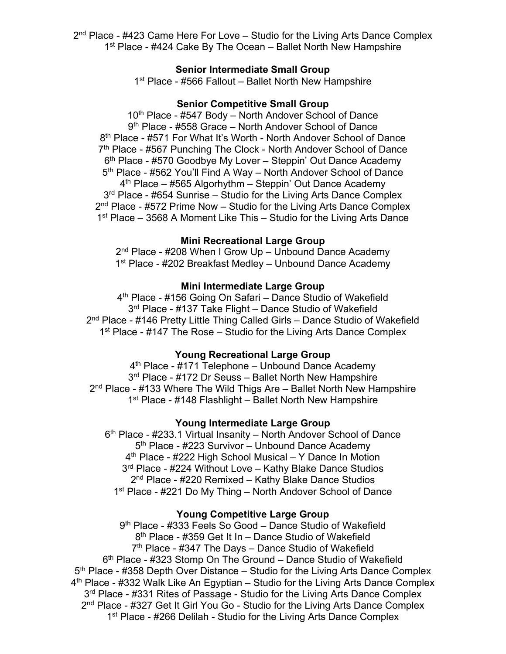2<sup>nd</sup> Place - #423 Came Here For Love – Studio for the Living Arts Dance Complex 1<sup>st</sup> Place - #424 Cake By The Ocean – Ballet North New Hampshire

#### **Senior Intermediate Small Group**

1<sup>st</sup> Place - #566 Fallout – Ballet North New Hampshire

### **Senior Competitive Small Group**

10<sup>th</sup> Place - #547 Body – North Andover School of Dance 9<sup>th</sup> Place - #558 Grace – North Andover School of Dance 8<sup>th</sup> Place - #571 For What It's Worth - North Andover School of Dance 7<sup>th</sup> Place - #567 Punching The Clock - North Andover School of Dance 6<sup>th</sup> Place - #570 Goodbye My Lover – Steppin' Out Dance Academy 5<sup>th</sup> Place - #562 You'll Find A Way – North Andover School of Dance  $4<sup>th</sup>$  Place – #565 Algorhythm – Steppin' Out Dance Academy 3<sup>rd</sup> Place - #654 Sunrise – Studio for the Living Arts Dance Complex  $2<sup>nd</sup>$  Place - #572 Prime Now – Studio for the Living Arts Dance Complex 1<sup>st</sup> Place – 3568 A Moment Like This – Studio for the Living Arts Dance

#### **Mini Recreational Large Group**

2<sup>nd</sup> Place - #208 When I Grow Up – Unbound Dance Academy 1<sup>st</sup> Place - #202 Breakfast Medley – Unbound Dance Academy

### **Mini Intermediate Large Group**

4th Place - #156 Going On Safari – Dance Studio of Wakefield 3<sup>rd</sup> Place - #137 Take Flight – Dance Studio of Wakefield 2<sup>nd</sup> Place - #146 Pretty Little Thing Called Girls - Dance Studio of Wakefield 1<sup>st</sup> Place - #147 The Rose – Studio for the Living Arts Dance Complex

#### **Young Recreational Large Group**

4<sup>th</sup> Place - #171 Telephone – Unbound Dance Academy 3<sup>rd</sup> Place - #172 Dr Seuss – Ballet North New Hampshire  $2<sup>nd</sup>$  Place - #133 Where The Wild Thigs Are – Ballet North New Hampshire 1<sup>st</sup> Place - #148 Flashlight – Ballet North New Hampshire

#### **Young Intermediate Large Group**

6<sup>th</sup> Place - #233.1 Virtual Insanity – North Andover School of Dance 5<sup>th</sup> Place - #223 Survivor – Unbound Dance Academy 4th Place - #222 High School Musical – Y Dance In Motion 3rd Place - #224 Without Love – Kathy Blake Dance Studios 2<sup>nd</sup> Place - #220 Remixed – Kathy Blake Dance Studios 1<sup>st</sup> Place - #221 Do My Thing – North Andover School of Dance

### **Young Competitive Large Group**

9th Place - #333 Feels So Good – Dance Studio of Wakefield 8<sup>th</sup> Place - #359 Get It In – Dance Studio of Wakefield  $7<sup>th</sup>$  Place - #347 The Days – Dance Studio of Wakefield 6th Place - #323 Stomp On The Ground – Dance Studio of Wakefield  $5<sup>th</sup>$  Place - #358 Depth Over Distance – Studio for the Living Arts Dance Complex 4th Place - #332 Walk Like An Egyptian – Studio for the Living Arts Dance Complex 3<sup>rd</sup> Place - #331 Rites of Passage - Studio for the Living Arts Dance Complex 2nd Place - #327 Get It Girl You Go - Studio for the Living Arts Dance Complex 1<sup>st</sup> Place - #266 Delilah - Studio for the Living Arts Dance Complex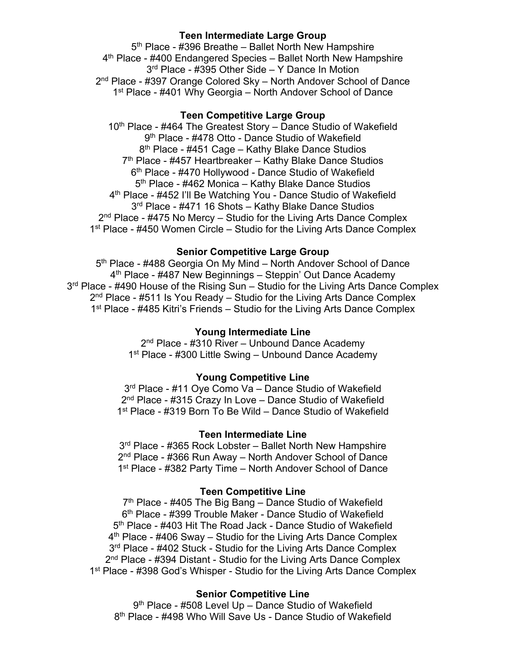#### **Teen Intermediate Large Group**

5<sup>th</sup> Place - #396 Breathe – Ballet North New Hampshire 4th Place - #400 Endangered Species – Ballet North New Hampshire 3<sup>rd</sup> Place - #395 Other Side – Y Dance In Motion 2nd Place - #397 Orange Colored Sky – North Andover School of Dance 1<sup>st</sup> Place - #401 Why Georgia – North Andover School of Dance

### **Teen Competitive Large Group**

10<sup>th</sup> Place - #464 The Greatest Story – Dance Studio of Wakefield 9<sup>th</sup> Place - #478 Otto - Dance Studio of Wakefield 8<sup>th</sup> Place - #451 Cage – Kathy Blake Dance Studios 7<sup>th</sup> Place - #457 Heartbreaker – Kathy Blake Dance Studios 6th Place - #470 Hollywood - Dance Studio of Wakefield 5<sup>th</sup> Place - #462 Monica – Kathy Blake Dance Studios 4th Place - #452 I'll Be Watching You - Dance Studio of Wakefield 3<sup>rd</sup> Place - #471 16 Shots – Kathy Blake Dance Studios 2<sup>nd</sup> Place - #475 No Mercy – Studio for the Living Arts Dance Complex 1<sup>st</sup> Place - #450 Women Circle – Studio for the Living Arts Dance Complex

#### **Senior Competitive Large Group**

5<sup>th</sup> Place - #488 Georgia On My Mind – North Andover School of Dance 4<sup>th</sup> Place - #487 New Beginnings – Steppin' Out Dance Academy 3<sup>rd</sup> Place - #490 House of the Rising Sun – Studio for the Living Arts Dance Complex  $2<sup>nd</sup>$  Place - #511 Is You Ready – Studio for the Living Arts Dance Complex 1<sup>st</sup> Place - #485 Kitri's Friends – Studio for the Living Arts Dance Complex

# **Young Intermediate Line**

2<sup>nd</sup> Place - #310 River – Unbound Dance Academy 1<sup>st</sup> Place - #300 Little Swing – Unbound Dance Academy

#### **Young Competitive Line**

3<sup>rd</sup> Place - #11 Oye Como Va – Dance Studio of Wakefield 2nd Place - #315 Crazy In Love – Dance Studio of Wakefield 1st Place - #319 Born To Be Wild – Dance Studio of Wakefield

#### **Teen Intermediate Line**

3<sup>rd</sup> Place - #365 Rock Lobster – Ballet North New Hampshire 2nd Place - #366 Run Away – North Andover School of Dance 1<sup>st</sup> Place - #382 Party Time – North Andover School of Dance

#### **Teen Competitive Line**

 $7<sup>th</sup>$  Place - #405 The Big Bang – Dance Studio of Wakefield 6th Place - #399 Trouble Maker - Dance Studio of Wakefield 5<sup>th</sup> Place - #403 Hit The Road Jack - Dance Studio of Wakefield  $4<sup>th</sup>$  Place - #406 Sway – Studio for the Living Arts Dance Complex 3<sup>rd</sup> Place - #402 Stuck - Studio for the Living Arts Dance Complex 2<sup>nd</sup> Place - #394 Distant - Studio for the Living Arts Dance Complex 1<sup>st</sup> Place - #398 God's Whisper - Studio for the Living Arts Dance Complex

#### **Senior Competitive Line**

9th Place - #508 Level Up – Dance Studio of Wakefield 8th Place - #498 Who Will Save Us - Dance Studio of Wakefield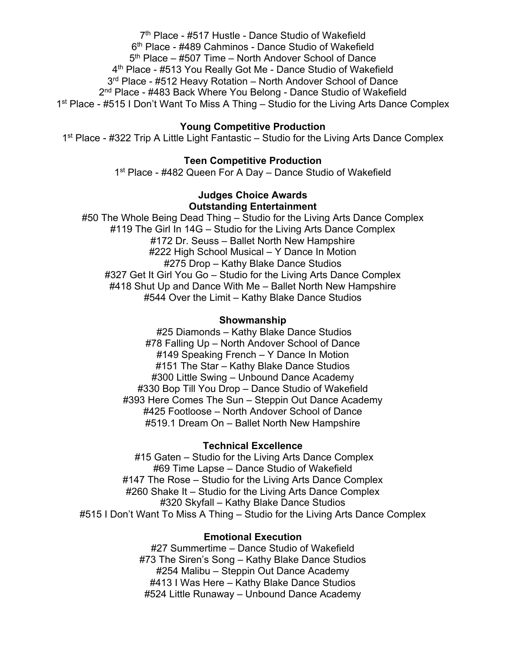7<sup>th</sup> Place - #517 Hustle - Dance Studio of Wakefield 6th Place - #489 Cahminos - Dance Studio of Wakefield  $5<sup>th</sup>$  Place – #507 Time – North Andover School of Dance 4th Place - #513 You Really Got Me - Dance Studio of Wakefield 3<sup>rd</sup> Place - #512 Heavy Rotation – North Andover School of Dance 2<sup>nd</sup> Place - #483 Back Where You Belong - Dance Studio of Wakefield 1<sup>st</sup> Place - #515 I Don't Want To Miss A Thing – Studio for the Living Arts Dance Complex

### **Young Competitive Production**

1<sup>st</sup> Place - #322 Trip A Little Light Fantastic – Studio for the Living Arts Dance Complex

# **Teen Competitive Production**

1<sup>st</sup> Place - #482 Queen For A Day – Dance Studio of Wakefield

## **Judges Choice Awards Outstanding Entertainment**

#50 The Whole Being Dead Thing – Studio for the Living Arts Dance Complex #119 The Girl In 14G – Studio for the Living Arts Dance Complex #172 Dr. Seuss – Ballet North New Hampshire #222 High School Musical – Y Dance In Motion #275 Drop – Kathy Blake Dance Studios #327 Get It Girl You Go – Studio for the Living Arts Dance Complex #418 Shut Up and Dance With Me – Ballet North New Hampshire #544 Over the Limit – Kathy Blake Dance Studios

### **Showmanship**

#25 Diamonds – Kathy Blake Dance Studios #78 Falling Up – North Andover School of Dance #149 Speaking French – Y Dance In Motion #151 The Star – Kathy Blake Dance Studios #300 Little Swing – Unbound Dance Academy #330 Bop Till You Drop – Dance Studio of Wakefield #393 Here Comes The Sun – Steppin Out Dance Academy #425 Footloose – North Andover School of Dance #519.1 Dream On – Ballet North New Hampshire

### **Technical Excellence**

#15 Gaten – Studio for the Living Arts Dance Complex #69 Time Lapse – Dance Studio of Wakefield #147 The Rose – Studio for the Living Arts Dance Complex #260 Shake It – Studio for the Living Arts Dance Complex #320 Skyfall – Kathy Blake Dance Studios #515 I Don't Want To Miss A Thing – Studio for the Living Arts Dance Complex

#### **Emotional Execution**

#27 Summertime – Dance Studio of Wakefield #73 The Siren's Song – Kathy Blake Dance Studios #254 Malibu – Steppin Out Dance Academy #413 I Was Here – Kathy Blake Dance Studios #524 Little Runaway – Unbound Dance Academy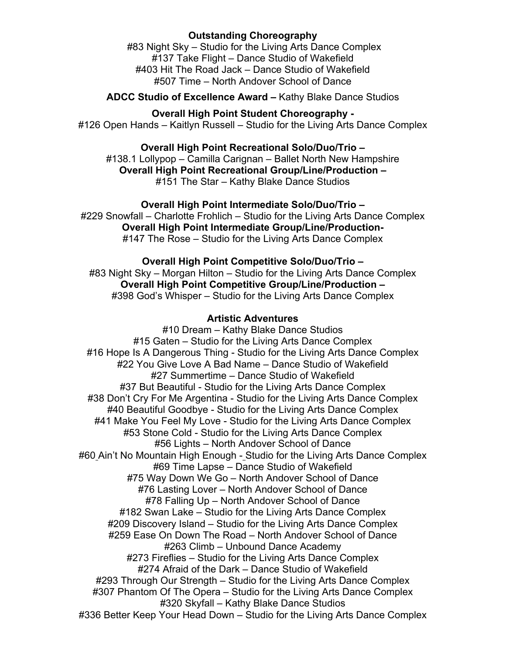# **Outstanding Choreography**

#83 Night Sky – Studio for the Living Arts Dance Complex #137 Take Flight – Dance Studio of Wakefield #403 Hit The Road Jack – Dance Studio of Wakefield #507 Time – North Andover School of Dance

**ADCC Studio of Excellence Award –** Kathy Blake Dance Studios

**Overall High Point Student Choreography -** #126 Open Hands – Kaitlyn Russell – Studio for the Living Arts Dance Complex

**Overall High Point Recreational Solo/Duo/Trio –** #138.1 Lollypop – Camilla Carignan – Ballet North New Hampshire **Overall High Point Recreational Group/Line/Production –** #151 The Star – Kathy Blake Dance Studios

**Overall High Point Intermediate Solo/Duo/Trio –** #229 Snowfall – Charlotte Frohlich – Studio for the Living Arts Dance Complex **Overall High Point Intermediate Group/Line/Production-** #147 The Rose – Studio for the Living Arts Dance Complex

### **Overall High Point Competitive Solo/Duo/Trio –**

#83 Night Sky – Morgan Hilton – Studio for the Living Arts Dance Complex **Overall High Point Competitive Group/Line/Production –** #398 God's Whisper – Studio for the Living Arts Dance Complex

# **Artistic Adventures**

#10 Dream – Kathy Blake Dance Studios #15 Gaten – Studio for the Living Arts Dance Complex #16 Hope Is A Dangerous Thing - Studio for the Living Arts Dance Complex #22 You Give Love A Bad Name – Dance Studio of Wakefield #27 Summertime – Dance Studio of Wakefield #37 But Beautiful - Studio for the Living Arts Dance Complex #38 Don't Cry For Me Argentina - Studio for the Living Arts Dance Complex #40 Beautiful Goodbye - Studio for the Living Arts Dance Complex #41 Make You Feel My Love - Studio for the Living Arts Dance Complex #53 Stone Cold - Studio for the Living Arts Dance Complex #56 Lights – North Andover School of Dance #60 Ain't No Mountain High Enough - Studio for the Living Arts Dance Complex #69 Time Lapse – Dance Studio of Wakefield #75 Way Down We Go – North Andover School of Dance #76 Lasting Lover – North Andover School of Dance #78 Falling Up – North Andover School of Dance #182 Swan Lake – Studio for the Living Arts Dance Complex #209 Discovery Island – Studio for the Living Arts Dance Complex #259 Ease On Down The Road – North Andover School of Dance #263 Climb – Unbound Dance Academy #273 Fireflies – Studio for the Living Arts Dance Complex #274 Afraid of the Dark – Dance Studio of Wakefield #293 Through Our Strength – Studio for the Living Arts Dance Complex #307 Phantom Of The Opera – Studio for the Living Arts Dance Complex #320 Skyfall – Kathy Blake Dance Studios #336 Better Keep Your Head Down – Studio for the Living Arts Dance Complex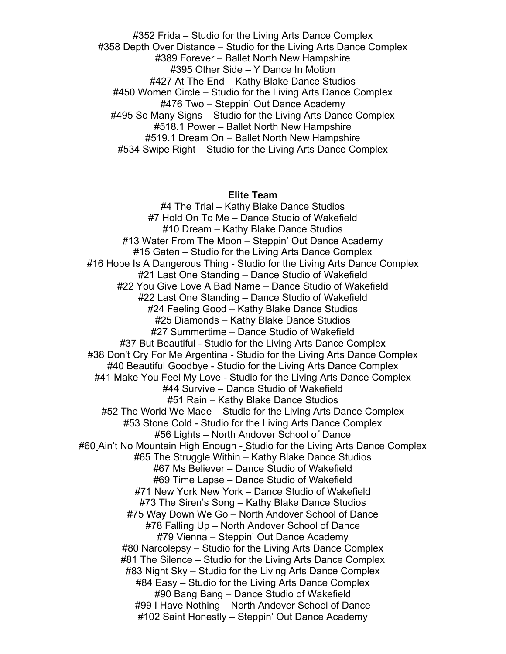#352 Frida – Studio for the Living Arts Dance Complex #358 Depth Over Distance – Studio for the Living Arts Dance Complex #389 Forever – Ballet North New Hampshire #395 Other Side – Y Dance In Motion #427 At The End – Kathy Blake Dance Studios #450 Women Circle – Studio for the Living Arts Dance Complex #476 Two – Steppin' Out Dance Academy #495 So Many Signs – Studio for the Living Arts Dance Complex #518.1 Power – Ballet North New Hampshire #519.1 Dream On – Ballet North New Hampshire #534 Swipe Right – Studio for the Living Arts Dance Complex

### **Elite Team**

#4 The Trial – Kathy Blake Dance Studios #7 Hold On To Me – Dance Studio of Wakefield #10 Dream – Kathy Blake Dance Studios #13 Water From The Moon – Steppin' Out Dance Academy #15 Gaten – Studio for the Living Arts Dance Complex #16 Hope Is A Dangerous Thing - Studio for the Living Arts Dance Complex #21 Last One Standing – Dance Studio of Wakefield #22 You Give Love A Bad Name – Dance Studio of Wakefield #22 Last One Standing – Dance Studio of Wakefield #24 Feeling Good – Kathy Blake Dance Studios #25 Diamonds – Kathy Blake Dance Studios #27 Summertime – Dance Studio of Wakefield #37 But Beautiful - Studio for the Living Arts Dance Complex #38 Don't Cry For Me Argentina - Studio for the Living Arts Dance Complex #40 Beautiful Goodbye - Studio for the Living Arts Dance Complex #41 Make You Feel My Love - Studio for the Living Arts Dance Complex #44 Survive – Dance Studio of Wakefield #51 Rain – Kathy Blake Dance Studios #52 The World We Made – Studio for the Living Arts Dance Complex #53 Stone Cold - Studio for the Living Arts Dance Complex #56 Lights – North Andover School of Dance #60 Ain't No Mountain High Enough - Studio for the Living Arts Dance Complex #65 The Struggle Within – Kathy Blake Dance Studios #67 Ms Believer – Dance Studio of Wakefield #69 Time Lapse – Dance Studio of Wakefield #71 New York New York – Dance Studio of Wakefield #73 The Siren's Song – Kathy Blake Dance Studios #75 Way Down We Go – North Andover School of Dance #78 Falling Up – North Andover School of Dance #79 Vienna – Steppin' Out Dance Academy #80 Narcolepsy – Studio for the Living Arts Dance Complex #81 The Silence – Studio for the Living Arts Dance Complex #83 Night Sky – Studio for the Living Arts Dance Complex #84 Easy – Studio for the Living Arts Dance Complex #90 Bang Bang – Dance Studio of Wakefield #99 I Have Nothing – North Andover School of Dance #102 Saint Honestly – Steppin' Out Dance Academy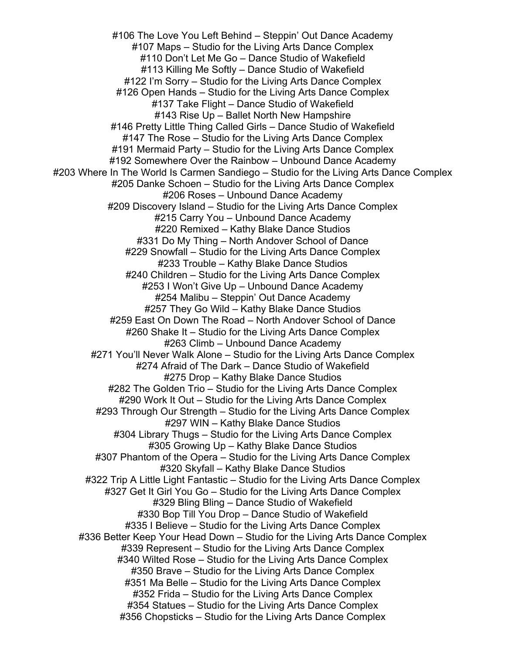#106 The Love You Left Behind – Steppin' Out Dance Academy #107 Maps – Studio for the Living Arts Dance Complex #110 Don't Let Me Go – Dance Studio of Wakefield #113 Killing Me Softly – Dance Studio of Wakefield #122 I'm Sorry – Studio for the Living Arts Dance Complex #126 Open Hands – Studio for the Living Arts Dance Complex #137 Take Flight – Dance Studio of Wakefield #143 Rise Up – Ballet North New Hampshire #146 Pretty Little Thing Called Girls – Dance Studio of Wakefield #147 The Rose – Studio for the Living Arts Dance Complex #191 Mermaid Party – Studio for the Living Arts Dance Complex #192 Somewhere Over the Rainbow – Unbound Dance Academy #203 Where In The World Is Carmen Sandiego – Studio for the Living Arts Dance Complex #205 Danke Schoen – Studio for the Living Arts Dance Complex #206 Roses – Unbound Dance Academy #209 Discovery Island – Studio for the Living Arts Dance Complex #215 Carry You – Unbound Dance Academy #220 Remixed – Kathy Blake Dance Studios #331 Do My Thing – North Andover School of Dance #229 Snowfall – Studio for the Living Arts Dance Complex #233 Trouble – Kathy Blake Dance Studios #240 Children – Studio for the Living Arts Dance Complex #253 I Won't Give Up – Unbound Dance Academy #254 Malibu – Steppin' Out Dance Academy #257 They Go Wild – Kathy Blake Dance Studios #259 East On Down The Road – North Andover School of Dance #260 Shake It – Studio for the Living Arts Dance Complex #263 Climb – Unbound Dance Academy #271 You'll Never Walk Alone – Studio for the Living Arts Dance Complex #274 Afraid of The Dark – Dance Studio of Wakefield #275 Drop – Kathy Blake Dance Studios #282 The Golden Trio – Studio for the Living Arts Dance Complex #290 Work It Out – Studio for the Living Arts Dance Complex #293 Through Our Strength – Studio for the Living Arts Dance Complex #297 WIN – Kathy Blake Dance Studios #304 Library Thugs – Studio for the Living Arts Dance Complex #305 Growing Up – Kathy Blake Dance Studios #307 Phantom of the Opera – Studio for the Living Arts Dance Complex #320 Skyfall – Kathy Blake Dance Studios #322 Trip A Little Light Fantastic – Studio for the Living Arts Dance Complex #327 Get It Girl You Go – Studio for the Living Arts Dance Complex #329 Bling Bling – Dance Studio of Wakefield #330 Bop Till You Drop – Dance Studio of Wakefield #335 I Believe – Studio for the Living Arts Dance Complex #336 Better Keep Your Head Down – Studio for the Living Arts Dance Complex #339 Represent – Studio for the Living Arts Dance Complex #340 Wilted Rose – Studio for the Living Arts Dance Complex #350 Brave – Studio for the Living Arts Dance Complex #351 Ma Belle – Studio for the Living Arts Dance Complex #352 Frida – Studio for the Living Arts Dance Complex #354 Statues – Studio for the Living Arts Dance Complex #356 Chopsticks – Studio for the Living Arts Dance Complex